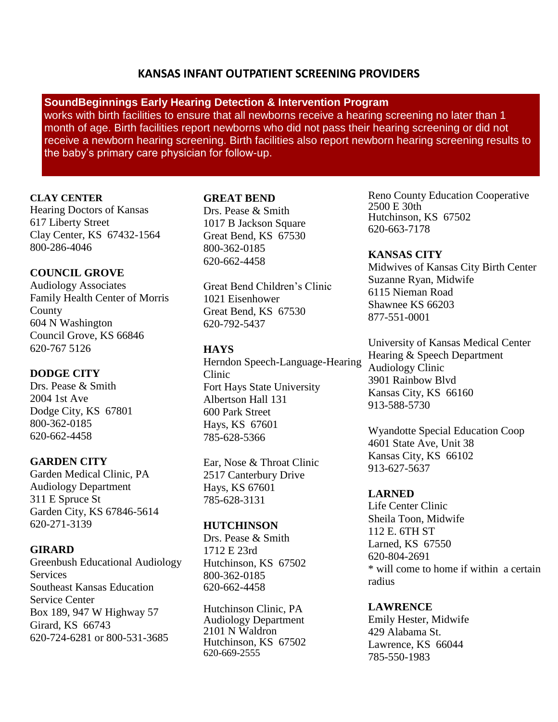# **KANSAS INFANT OUTPATIENT SCREENING PROVIDERS**

# **SoundBeginnings Early Hearing Detection & Intervention Program**

works with birth facilities to ensure that all newborns receive a hearing screening no later than 1 month of age. Birth facilities report newborns who did not pass their hearing screening or did not receive a newborn hearing screening. Birth facilities also report newborn hearing screening results to the baby's primary care physician for follow-up.

# **CLAY CENTER**

Hearing Doctors of Kansas 617 Liberty Street Clay Center, KS 67432-1564 800-286-4046

# **COUNCIL GROVE**

Audiology Associates Family Health Center of Morris County 604 N Washington Council Grove, KS 66846 620-767 5126

## **DODGE CITY**

Drs. Pease & Smith 2004 1st Ave Dodge City, KS 67801 800-362-0185 620-662-4458

# **GARDEN CITY**

Garden Medical Clinic, PA Audiology Department 311 E Spruce St Garden City, KS 67846-5614 620-271-3139

# **GIRARD**

Greenbush Educational Audiology **Services** Southeast Kansas Education Service Center Box 189, 947 W Highway 57 Girard, KS 66743 620-724-6281 or 800-531-3685

#### **GREAT BEND**

Drs. Pease & Smith 1017 B Jackson Square Great Bend, KS 67530 800-362-0185 620-662-4458

Great Bend Children's Clinic 1021 Eisenhower Great Bend, KS 67530 620-792-5437

# **HAYS**

Herndon Speech-Language-Hearing Clinic Fort Hays State University Albertson Hall 131 600 Park Street Hays, KS 67601 785-628-5366

Ear, Nose & Throat Clinic 2517 Canterbury Drive Hays, KS 67601 785-628-3131

## **HUTCHINSON**

Drs. Pease & Smith 1712 E 23rd Hutchinson, KS 67502 800-362-0185 620-662-4458

Hutchinson Clinic, PA Audiology Department 2101 N Waldron Hutchinson, KS 67502 620-669-2555

Reno County Education Cooperative 2500 E 30th Hutchinson, KS 67502 620-663-7178

**KANSAS CITY** Midwives of Kansas City Birth Center Suzanne Ryan, Midwife 6115 Nieman Road Shawnee KS 66203 877-551-0001

University of Kansas Medical Center Hearing & Speech Department Audiology Clinic 3901 Rainbow Blvd Kansas City, KS 66160 913-588-5730

Wyandotte Special Education Coop 4601 State Ave, Unit 38 Kansas City, KS 66102 913-627-5637

## **LARNED**

Life Center Clinic Sheila Toon, Midwife 112 E. 6TH ST Larned, KS 67550 620-804-2691 \* will come to home if within a certain radius

## **LAWRENCE**

Emily Hester, Midwife 429 Alabama St. Lawrence, KS 66044 785-550-1983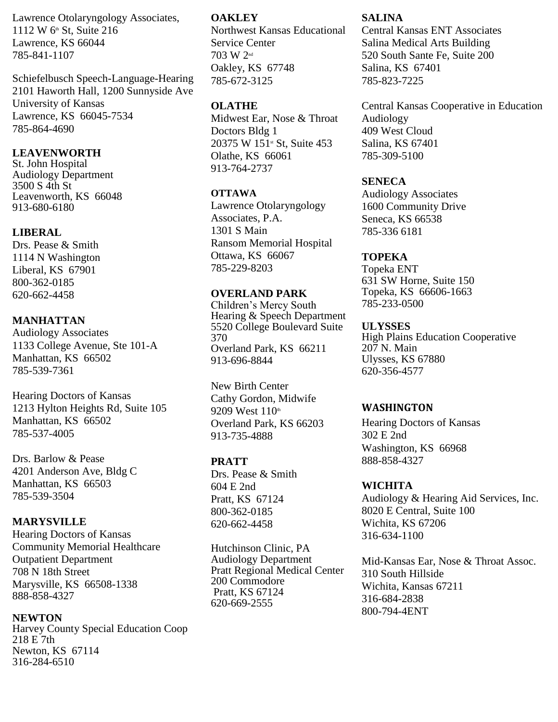Lawrence Otolaryngology Associates, 1112 W 6th St, Suite 216 Lawrence, KS 66044 785-841-1107

Schiefelbusch Speech-Language-Hearing 2101 Haworth Hall, 1200 Sunnyside Ave University of Kansas Lawrence, KS 66045-7534 785-864-4690

# **LEAVENWORTH**

St. John Hospital Audiology Department 3500 S 4th St Leavenworth, KS 66048 913-680-6180

# **LIBERAL**

Drs. Pease & Smith 1114 N Washington Liberal, KS 67901 800-362-0185 620-662-4458

# **MANHATTAN**

Audiology Associates 1133 College Avenue, Ste 101-A Manhattan, KS 66502 785-539-7361

Hearing Doctors of Kansas 1213 Hylton Heights Rd, Suite 105 Manhattan, KS 66502 785-537-4005

Drs. Barlow & Pease 4201 Anderson Ave, Bldg C Manhattan, KS 66503 785-539-3504

# **MARYSVILLE**

Hearing Doctors of Kansas Community Memorial Healthcare Outpatient Department 708 N 18th Street Marysville, KS 66508-1338 888-858-4327

#### **NEWTON**

Harvey County Special Education Coop 218 E 7th Newton, KS 67114 316-284-6510

#### **OAKLEY**

Northwest Kansas Educational Service Center 703 W 2nd Oakley, KS 67748 785-672-3125

## **OLATHE**

Midwest Ear, Nose & Throat Doctors Bldg 1 20375 W 151<sup>st</sup> St, Suite 453 Olathe, KS 66061 913-764-2737

#### **OTTAWA**

Lawrence Otolaryngology Associates, P.A. 1301 S Main Ransom Memorial Hospital Ottawa, KS 66067 785-229-8203

## **OVERLAND PARK**

Children's Mercy South Hearing & Speech Department 5520 College Boulevard Suite 370 Overland Park, KS 66211 913-696-8844

New Birth Center Cathy Gordon, Midwife 9209 West 110th Overland Park, KS 66203 913-735-4888

## **PRATT**

Drs. Pease & Smith 604 E 2nd Pratt, KS 67124 800-362-0185 620-662-4458

Hutchinson Clinic, PA Audiology Department Pratt Regional Medical Center 200 Commodore Pratt, KS 67124 620-669-2555

### **SALINA**

Central Kansas ENT Associates Salina Medical Arts Building 520 South Sante Fe, Suite 200 Salina, KS 67401 785-823-7225

Central Kansas Cooperative in Education Audiology 409 West Cloud Salina, KS 67401 785-309-5100

### **SENECA**

Audiology Associates 1600 Community Drive Seneca, KS 66538 785-336 6181

### **TOPEKA**

Topeka ENT 631 SW Horne, Suite 150 Topeka, KS 66606-1663 785-233-0500

#### **ULYSSES**

High Plains Education Cooperative 207 N. Main Ulysses, KS 67880 620-356-4577

#### **WASHINGTON**

Hearing Doctors of Kansas 302 E 2nd Washington, KS 66968 888-858-4327

#### **WICHITA**

Audiology & Hearing Aid Services, Inc. 8020 E Central, Suite 100 Wichita, KS 67206 316-634-1100

Mid-Kansas Ear, Nose & Throat Assoc. 310 South Hillside Wichita, Kansas 67211 316-684-2838 800-794-4ENT